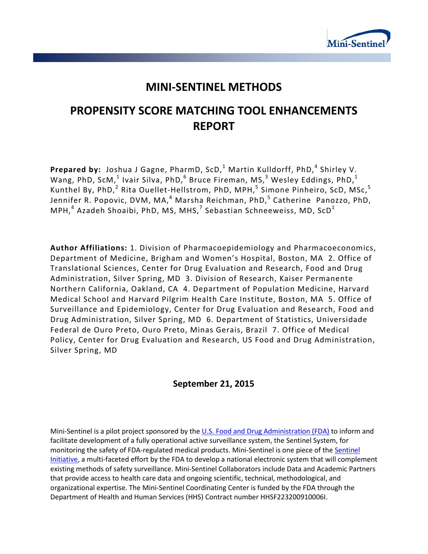

## **MINI-SENTINEL METHODS**

# **PROPENSITY SCORE MATCHING TOOL ENHANCEMENTS REPORT**

Prepared by: Joshua J Gagne, PharmD, ScD,<sup>1</sup> Martin Kulldorff, PhD,<sup>4</sup> Shirley V. Wang, PhD, ScM, $^1$  Ivair Silva, PhD, $^6$  Bruce Fireman, MS, $^3$  Wesley Eddings, PhD, $^1$ Kunthel By, PhD,<sup>2</sup> Rita Ouellet-Hellstrom, PhD, MPH,<sup>5</sup> Simone Pinheiro, ScD, MSc,<sup>5</sup> Jennifer R. Popovic, DVM, MA,<sup>4</sup> Marsha Reichman, PhD,<sup>5</sup> Catherine Panozzo, PhD, MPH, $^4$  Azadeh Shoaibi, PhD, MS, MHS, $^7$  Sebastian Schneeweiss, MD, ScD $^1$ 

**Author Affiliations:** 1. Division of Pharmacoepidemiology and Pharmacoeconomics, Department of Medicine, Brigham and Women's Hospital, Boston, MA 2. Office of Translational Sciences, Center for Drug Evaluation and Research, Food and Drug Administration, Silver Spring, MD 3. Division of Research, Kaiser Permanente Northern California, Oakland, CA 4. Department of Population Medicine, Harvard Medical School and Harvard Pilgrim Health Care Institute, Boston, MA 5. Office of Surveillance and Epidemiology, Center for Drug Evaluation and Research, Food and Drug Administration, Silver Spring, MD 6. Department of Statistics, Universidade Federal de Ouro Preto, Ouro Preto, Minas Gerais, Brazil 7. Office of Medical Policy, Center for Drug Evaluation and Research, US Food and Drug Administration, Silver Spring, MD

## **September 21, 2015**

Mini-Sentinel is a pilot project sponsored by th[e U.S. Food and Drug Administration \(FDA\)](http://www.fda.gov/) to inform and facilitate development of a fully operational active surveillance system, the Sentinel System, for monitoring the safety of FDA-regulated medical products. Mini-Sentinel is one piece of the [Sentinel](http://www.fda.gov/Safety/FDAsSentinelInitiative/default.htm)  [Initiative,](http://www.fda.gov/Safety/FDAsSentinelInitiative/default.htm) a multi-faceted effort by the FDA to develop a national electronic system that will complement existing methods of safety surveillance. Mini-Sentinel Collaborators include Data and Academic Partners that provide access to health care data and ongoing scientific, technical, methodological, and organizational expertise. The Mini-Sentinel Coordinating Center is funded by the FDA through the Department of Health and Human Services (HHS) Contract number HHSF223200910006I.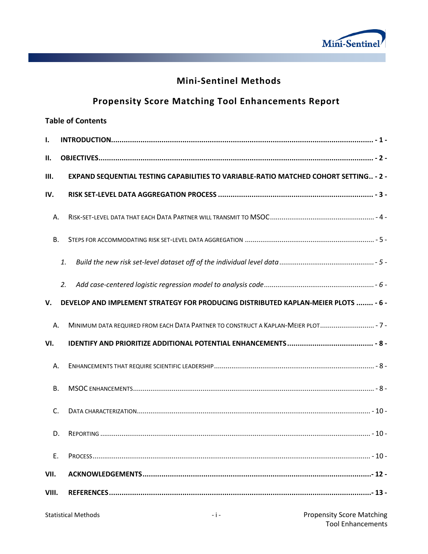

## **Mini-Sentinel Methods**

# **Propensity Score Matching Tool Enhancements Report**

|                                                                                          | <b>Table of Contents</b> |                                                                                       |  |  |  |  |  |  |  |
|------------------------------------------------------------------------------------------|--------------------------|---------------------------------------------------------------------------------------|--|--|--|--|--|--|--|
| Ι.                                                                                       |                          |                                                                                       |  |  |  |  |  |  |  |
| II.                                                                                      |                          |                                                                                       |  |  |  |  |  |  |  |
| Ш.                                                                                       |                          | EXPAND SEQUENTIAL TESTING CAPABILITIES TO VARIABLE-RATIO MATCHED COHORT SETTING - 2 - |  |  |  |  |  |  |  |
| IV.                                                                                      |                          |                                                                                       |  |  |  |  |  |  |  |
| А.                                                                                       |                          |                                                                                       |  |  |  |  |  |  |  |
| В.                                                                                       |                          |                                                                                       |  |  |  |  |  |  |  |
|                                                                                          | 1.                       |                                                                                       |  |  |  |  |  |  |  |
|                                                                                          | 2.                       |                                                                                       |  |  |  |  |  |  |  |
| DEVELOP AND IMPLEMENT STRATEGY FOR PRODUCING DISTRIBUTED KAPLAN-MEIER PLOTS  - 6 -<br>V. |                          |                                                                                       |  |  |  |  |  |  |  |
| А.                                                                                       |                          | MINIMUM DATA REQUIRED FROM EACH DATA PARTNER TO CONSTRUCT A KAPLAN-MEIER PLOT - 7-    |  |  |  |  |  |  |  |
| VI.                                                                                      |                          |                                                                                       |  |  |  |  |  |  |  |
| А.                                                                                       |                          |                                                                                       |  |  |  |  |  |  |  |
| В.                                                                                       |                          |                                                                                       |  |  |  |  |  |  |  |
| C.                                                                                       |                          |                                                                                       |  |  |  |  |  |  |  |
| D.                                                                                       |                          |                                                                                       |  |  |  |  |  |  |  |
| Ε.                                                                                       |                          |                                                                                       |  |  |  |  |  |  |  |
| VII.                                                                                     |                          |                                                                                       |  |  |  |  |  |  |  |
| VIII.                                                                                    |                          |                                                                                       |  |  |  |  |  |  |  |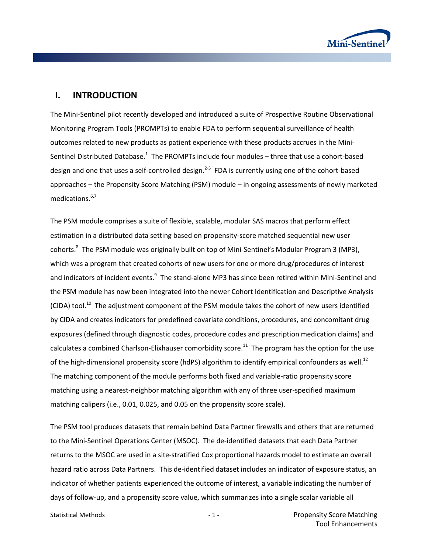

### **I. INTRODUCTION**

The Mini-Sentinel pilot recently developed and introduced a suite of Prospective Routine Observational Monitoring Program Tools (PROMPTs) to enable FDA to perform sequential surveillance of health outcomes related to new products as patient experience with these products accrues in the Mini-Sentinel Distributed Database.<sup>[1](#page-14-0)</sup> The PROMPTs include four modules – three that use a cohort-based design and one that uses a self-controlled design.<sup>[2-5](#page-14-1)</sup> FDA is currently using one of the cohort-based approaches – the Propensity Score Matching (PSM) module – in ongoing assessments of newly marketed medications.<sup>6,[7](#page-14-3)</sup>

The PSM module comprises a suite of flexible, scalable, modular SAS macros that perform effect estimation in a distributed data setting based on propensity-score matched sequential new user cohorts[.8](#page-15-0) The PSM module was originally built on top of Mini-Sentinel's Modular Program 3 (MP3), which was a program that created cohorts of new users for one or more drug/procedures of interest and indicators of incident events.<sup>9</sup> The stand-alone MP3 has since been retired within Mini-Sentinel and the PSM module has now been integrated into the newer Cohort Identification and Descriptive Analysis  $(CDA)$  tool.<sup>10</sup> The adjustment component of the PSM module takes the cohort of new users identified by CIDA and creates indicators for predefined covariate conditions, procedures, and concomitant drug exposures (defined through diagnostic codes, procedure codes and prescription medication claims) and calculates a combined Charlson-Elixhauser comorbidity score.<sup>[11](#page-15-3)</sup> The program has the option for the use of the high-dimensional propensity score (hdPS) algorithm to identify empirical confounders as well.<sup>12</sup> The matching component of the module performs both fixed and variable-ratio propensity score matching using a nearest-neighbor matching algorithm with any of three user-specified maximum matching calipers (i.e., 0.01, 0.025, and 0.05 on the propensity score scale).

The PSM tool produces datasets that remain behind Data Partner firewalls and others that are returned to the Mini-Sentinel Operations Center (MSOC). The de-identified datasets that each Data Partner returns to the MSOC are used in a site-stratified Cox proportional hazards model to estimate an overall hazard ratio across Data Partners. This de-identified dataset includes an indicator of exposure status, an indicator of whether patients experienced the outcome of interest, a variable indicating the number of days of follow-up, and a propensity score value, which summarizes into a single scalar variable all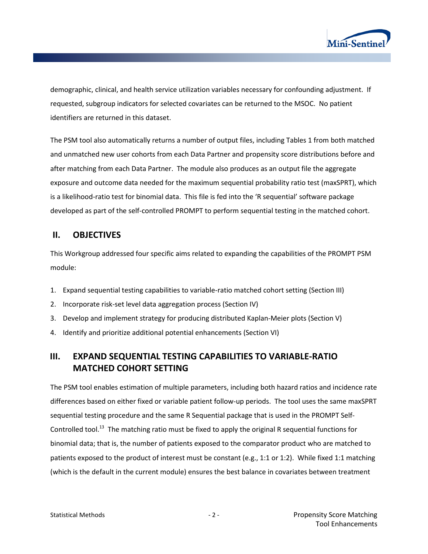

demographic, clinical, and health service utilization variables necessary for confounding adjustment. If requested, subgroup indicators for selected covariates can be returned to the MSOC. No patient identifiers are returned in this dataset.

The PSM tool also automatically returns a number of output files, including Tables 1 from both matched and unmatched new user cohorts from each Data Partner and propensity score distributions before and after matching from each Data Partner. The module also produces as an output file the aggregate exposure and outcome data needed for the maximum sequential probability ratio test (maxSPRT), which is a likelihood-ratio test for binomial data. This file is fed into the 'R sequential' software package developed as part of the self-controlled PROMPT to perform sequential testing in the matched cohort.

## **II. OBJECTIVES**

This Workgroup addressed four specific aims related to expanding the capabilities of the PROMPT PSM module:

- 1. Expand sequential testing capabilities to variable-ratio matched cohort setting (Section III)
- 2. Incorporate risk-set level data aggregation process (Section IV)
- 3. Develop and implement strategy for producing distributed Kaplan-Meier plots (Section V)
- 4. Identify and prioritize additional potential enhancements (Section VI)

## **III. EXPAND SEQUENTIAL TESTING CAPABILITIES TO VARIABLE-RATIO MATCHED COHORT SETTING**

The PSM tool enables estimation of multiple parameters, including both hazard ratios and incidence rate differences based on either fixed or variable patient follow-up periods. The tool uses the same maxSPRT sequential testing procedure and the same R Sequential package that is used in the PROMPT Self-Controlled tool.<sup>13</sup> The matching ratio must be fixed to apply the original R sequential functions for binomial data; that is, the number of patients exposed to the comparator product who are matched to patients exposed to the product of interest must be constant (e.g., 1:1 or 1:2). While fixed 1:1 matching (which is the default in the current module) ensures the best balance in covariates between treatment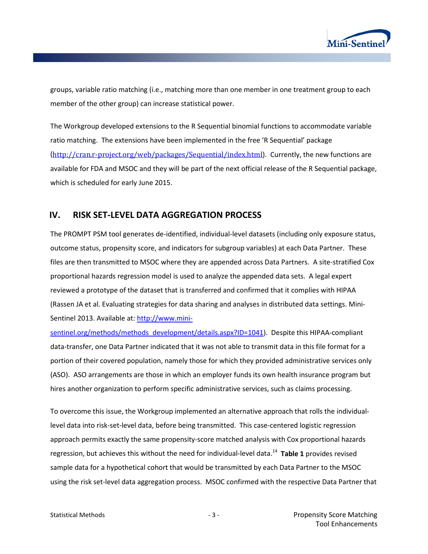

groups, variable ratio matching (i.e., matching more than one member in one treatment group to each member of the other group) can increase statistical power.

The Workgroup developed extensions to the R Sequential binomial functions to accommodate variable ratio matching. The extensions have been implemented in the free 'R Sequential' package (<http://cran.r-project.org/web/packages/Sequential/index.html>). Currently, the new functions are available for FDA and MSOC and they will be part of the next official release of the R Sequential package, which is scheduled for early June 2015.

### **IV. RISK SET-LEVEL DATA AGGREGATION PROCESS**

The PROMPT PSM tool generates de-identified, individual-level datasets (including only exposure status, outcome status, propensity score, and indicators for subgroup variables) at each Data Partner. These files are then transmitted to MSOC where they are appended across Data Partners. A site-stratified Cox proportional hazards regression model is used to analyze the appended data sets. A legal expert reviewed a prototype of the dataset that is transferred and confirmed that it complies with HIPAA (Rassen JA et al. Evaluating strategies for data sharing and analyses in distributed data settings. Mini-Sentinel 2013. Available at: [http://www.mini-](http://www.mini-sentinel.org/methods/methods_development/details.aspx?ID=1041)

[sentinel.org/methods/methods\\_development/details.aspx?ID=1041\)](http://www.mini-sentinel.org/methods/methods_development/details.aspx?ID=1041). Despite this HIPAA-compliant data-transfer, one Data Partner indicated that it was not able to transmit data in this file format for a portion of their covered population, namely those for which they provided administrative services only (ASO). ASO arrangements are those in which an employer funds its own health insurance program but hires another organization to perform specific administrative services, such as claims processing.

To overcome this issue, the Workgroup implemented an alternative approach that rolls the individuallevel data into risk-set-level data, before being transmitted. This case-centered logistic regression approach permits exactly the same propensity-score matched analysis with Cox proportional hazards regression, but achieves this without the need for individual-level data.[14](#page-15-6) **Table 1** provides revised sample data for a hypothetical cohort that would be transmitted by each Data Partner to the MSOC using the risk set-level data aggregation process. MSOC confirmed with the respective Data Partner that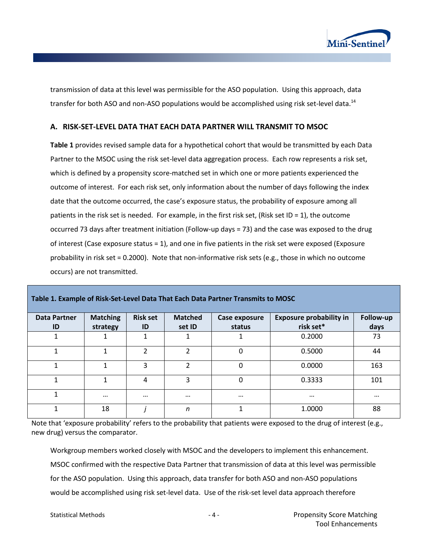

transmission of data at this level was permissible for the ASO population. Using this approach, data transfer for both ASO and non-ASO populations would be accomplished using risk set-level data.<sup>14</sup>

#### **A. RISK-SET-LEVEL DATA THAT EACH DATA PARTNER WILL TRANSMIT TO MSOC**

**Table 1** provides revised sample data for a hypothetical cohort that would be transmitted by each Data Partner to the MSOC using the risk set-level data aggregation process. Each row represents a risk set, which is defined by a propensity score-matched set in which one or more patients experienced the outcome of interest. For each risk set, only information about the number of days following the index date that the outcome occurred, the case's exposure status, the probability of exposure among all patients in the risk set is needed. For example, in the first risk set, (Risk set ID = 1), the outcome occurred 73 days after treatment initiation (Follow-up days = 73) and the case was exposed to the drug of interest (Case exposure status = 1), and one in five patients in the risk set were exposed (Exposure probability in risk set = 0.2000). Note that non-informative risk sets (e.g., those in which no outcome occurs) are not transmitted.

| <b>Data Partner</b><br>ID | <b>Matching</b><br>strategy | <b>Risk set</b><br>ID | <b>Matched</b><br>set ID | Case exposure<br>status | <b>Exposure probability in</b><br>risk set* | Follow-up<br>days |
|---------------------------|-----------------------------|-----------------------|--------------------------|-------------------------|---------------------------------------------|-------------------|
|                           |                             |                       |                          |                         | 0.2000                                      | 73                |
|                           |                             | ำ                     | 2                        | 0                       | 0.5000                                      | 44                |
|                           |                             | 3                     | $\overline{2}$           | $\Omega$                | 0.0000                                      | 163               |
|                           |                             | 4                     | 3                        | $\Omega$                | 0.3333                                      | 101               |
|                           | $\cdots$                    | $\cdots$              | $\cdots$                 | $\cdots$                | $\cdots$                                    | $\cdots$          |
|                           | 18                          |                       | n                        | 1                       | 1.0000                                      | 88                |

**Table 1. Example of Risk-Set-Level Data That Each Data Partner Transmits to MOSC**

Note that 'exposure probability' refers to the probability that patients were exposed to the drug of interest (e.g., new drug) versus the comparator.

Workgroup members worked closely with MSOC and the developers to implement this enhancement. MSOC confirmed with the respective Data Partner that transmission of data at this level was permissible for the ASO population. Using this approach, data transfer for both ASO and non-ASO populations would be accomplished using risk set-level data. Use of the risk-set level data approach therefore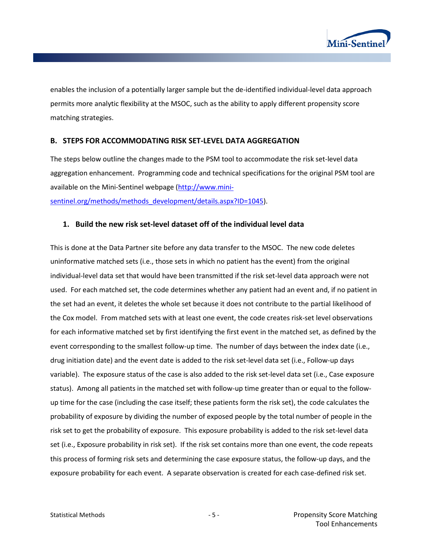

enables the inclusion of a potentially larger sample but the de-identified individual-level data approach permits more analytic flexibility at the MSOC, such as the ability to apply different propensity score matching strategies.

#### **B. STEPS FOR ACCOMMODATING RISK SET-LEVEL DATA AGGREGATION**

The steps below outline the changes made to the PSM tool to accommodate the risk set-level data aggregation enhancement. Programming code and technical specifications for the original PSM tool are available on the Mini-Sentinel webpage [\(http://www.mini-](http://www.mini-sentinel.org/methods/methods_development/details.aspx?ID=1045)

[sentinel.org/methods/methods\\_development/details.aspx?ID=1045\)](http://www.mini-sentinel.org/methods/methods_development/details.aspx?ID=1045).

#### **1. Build the new risk set-level dataset off of the individual level data**

This is done at the Data Partner site before any data transfer to the MSOC. The new code deletes uninformative matched sets (i.e., those sets in which no patient has the event) from the original individual-level data set that would have been transmitted if the risk set-level data approach were not used. For each matched set, the code determines whether any patient had an event and, if no patient in the set had an event, it deletes the whole set because it does not contribute to the partial likelihood of the Cox model. From matched sets with at least one event, the code creates risk-set level observations for each informative matched set by first identifying the first event in the matched set, as defined by the event corresponding to the smallest follow-up time. The number of days between the index date (i.e., drug initiation date) and the event date is added to the risk set-level data set (i.e., Follow-up days variable). The exposure status of the case is also added to the risk set-level data set (i.e., Case exposure status). Among all patients in the matched set with follow-up time greater than or equal to the followup time for the case (including the case itself; these patients form the risk set), the code calculates the probability of exposure by dividing the number of exposed people by the total number of people in the risk set to get the probability of exposure. This exposure probability is added to the risk set-level data set (i.e., Exposure probability in risk set). If the risk set contains more than one event, the code repeats this process of forming risk sets and determining the case exposure status, the follow-up days, and the exposure probability for each event. A separate observation is created for each case-defined risk set.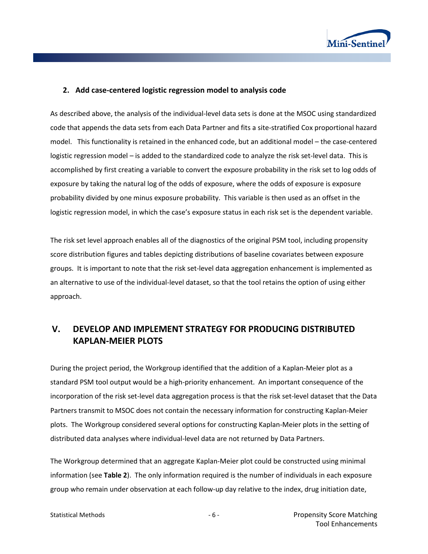

#### **2. Add case-centered logistic regression model to analysis code**

As described above, the analysis of the individual-level data sets is done at the MSOC using standardized code that appends the data sets from each Data Partner and fits a site-stratified Cox proportional hazard model. This functionality is retained in the enhanced code, but an additional model – the case-centered logistic regression model – is added to the standardized code to analyze the risk set-level data. This is accomplished by first creating a variable to convert the exposure probability in the risk set to log odds of exposure by taking the natural log of the odds of exposure, where the odds of exposure is exposure probability divided by one minus exposure probability. This variable is then used as an offset in the logistic regression model, in which the case's exposure status in each risk set is the dependent variable.

The risk set level approach enables all of the diagnostics of the original PSM tool, including propensity score distribution figures and tables depicting distributions of baseline covariates between exposure groups. It is important to note that the risk set-level data aggregation enhancement is implemented as an alternative to use of the individual-level dataset, so that the tool retains the option of using either approach.

## **V. DEVELOP AND IMPLEMENT STRATEGY FOR PRODUCING DISTRIBUTED KAPLAN-MEIER PLOTS**

During the project period, the Workgroup identified that the addition of a Kaplan-Meier plot as a standard PSM tool output would be a high-priority enhancement. An important consequence of the incorporation of the risk set-level data aggregation process is that the risk set-level dataset that the Data Partners transmit to MSOC does not contain the necessary information for constructing Kaplan-Meier plots. The Workgroup considered several options for constructing Kaplan-Meier plots in the setting of distributed data analyses where individual-level data are not returned by Data Partners.

The Workgroup determined that an aggregate Kaplan-Meier plot could be constructed using minimal information (see **[Table 2](#page-8-0)**). The only information required is the number of individuals in each exposure group who remain under observation at each follow-up day relative to the index, drug initiation date,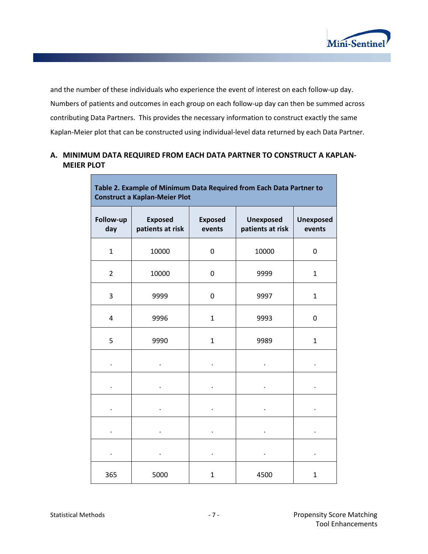

and the number of these individuals who experience the event of interest on each follow-up day. Numbers of patients and outcomes in each group on each follow-up day can then be summed across contributing Data Partners. This provides the necessary information to construct exactly the same Kaplan-Meier plot that can be constructed using individual-level data returned by each Data Partner.

### **A. MINIMUM DATA REQUIRED FROM EACH DATA PARTNER TO CONSTRUCT A KAPLAN-MEIER PLOT**

<span id="page-8-0"></span>

| Table 2. Example of Minimum Data Required from Each Data Partner to<br><b>Construct a Kaplan-Meier Plot</b> |                                    |                          |                                      |                            |  |  |  |  |  |
|-------------------------------------------------------------------------------------------------------------|------------------------------------|--------------------------|--------------------------------------|----------------------------|--|--|--|--|--|
| Follow-up<br>day                                                                                            | <b>Exposed</b><br>patients at risk | <b>Exposed</b><br>events | <b>Unexposed</b><br>patients at risk | <b>Unexposed</b><br>events |  |  |  |  |  |
| $\mathbf{1}$                                                                                                | 10000                              | 0                        | 10000                                | 0                          |  |  |  |  |  |
| $\overline{2}$                                                                                              | 10000                              | 0                        | 9999                                 | $\mathbf{1}$               |  |  |  |  |  |
| 3                                                                                                           | 9999                               | 0                        | 9997                                 | $\mathbf{1}$               |  |  |  |  |  |
| 4                                                                                                           | 9996                               | $\mathbf{1}$             | 9993                                 | $\mathbf 0$                |  |  |  |  |  |
| 5                                                                                                           | 9990                               | $\mathbf{1}$             | 9989                                 | $\mathbf{1}$               |  |  |  |  |  |
|                                                                                                             |                                    |                          |                                      |                            |  |  |  |  |  |
|                                                                                                             |                                    |                          |                                      |                            |  |  |  |  |  |
|                                                                                                             |                                    |                          |                                      |                            |  |  |  |  |  |
|                                                                                                             |                                    |                          |                                      |                            |  |  |  |  |  |
|                                                                                                             |                                    |                          |                                      |                            |  |  |  |  |  |
| 365                                                                                                         | 5000                               | $\mathbf{1}$             | 4500                                 | $\mathbf{1}$               |  |  |  |  |  |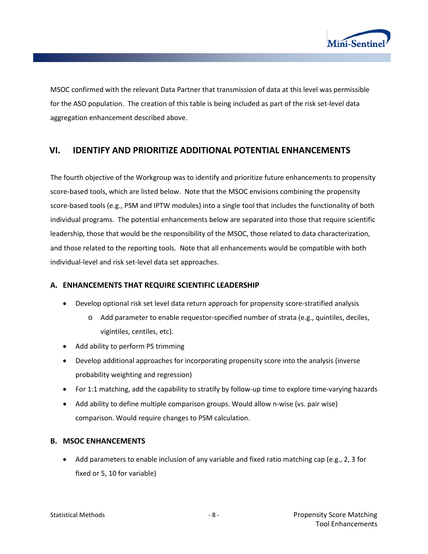

MSOC confirmed with the relevant Data Partner that transmission of data at this level was permissible for the ASO population. The creation of this table is being included as part of the risk set-level data aggregation enhancement described above.

### **VI. IDENTIFY AND PRIORITIZE ADDITIONAL POTENTIAL ENHANCEMENTS**

The fourth objective of the Workgroup was to identify and prioritize future enhancements to propensity score-based tools, which are listed below. Note that the MSOC envisions combining the propensity score-based tools (e.g., PSM and IPTW modules) into a single tool that includes the functionality of both individual programs. The potential enhancements below are separated into those that require scientific leadership, those that would be the responsibility of the MSOC, those related to data characterization, and those related to the reporting tools. Note that all enhancements would be compatible with both individual-level and risk set-level data set approaches.

#### **A. ENHANCEMENTS THAT REQUIRE SCIENTIFIC LEADERSHIP**

- Develop optional risk set level data return approach for propensity score-stratified analysis
	- o Add parameter to enable requestor-specified number of strata (e.g., quintiles, deciles, vigintiles, centiles, etc).
- Add ability to perform PS trimming
- Develop additional approaches for incorporating propensity score into the analysis (inverse probability weighting and regression)
- For 1:1 matching, add the capability to stratify by follow-up time to explore time-varying hazards
- Add ability to define multiple comparison groups. Would allow n-wise (vs. pair wise) comparison. Would require changes to PSM calculation.

#### **B. MSOC ENHANCEMENTS**

• Add parameters to enable inclusion of any variable and fixed ratio matching cap (e.g., 2, 3 for fixed or 5, 10 for variable)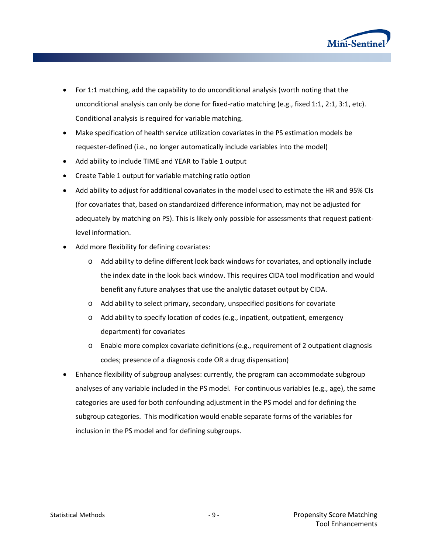

- For 1:1 matching, add the capability to do unconditional analysis (worth noting that the unconditional analysis can only be done for fixed-ratio matching (e.g., fixed 1:1, 2:1, 3:1, etc). Conditional analysis is required for variable matching.
- Make specification of health service utilization covariates in the PS estimation models be requester-defined (i.e., no longer automatically include variables into the model)
- Add ability to include TIME and YEAR to Table 1 output
- Create Table 1 output for variable matching ratio option
- Add ability to adjust for additional covariates in the model used to estimate the HR and 95% CIs (for covariates that, based on standardized difference information, may not be adjusted for adequately by matching on PS). This is likely only possible for assessments that request patientlevel information.
- Add more flexibility for defining covariates:
	- o Add ability to define different look back windows for covariates, and optionally include the index date in the look back window. This requires CIDA tool modification and would benefit any future analyses that use the analytic dataset output by CIDA.
	- o Add ability to select primary, secondary, unspecified positions for covariate
	- o Add ability to specify location of codes (e.g., inpatient, outpatient, emergency department) for covariates
	- o Enable more complex covariate definitions (e.g., requirement of 2 outpatient diagnosis codes; presence of a diagnosis code OR a drug dispensation)
- Enhance flexibility of subgroup analyses: currently, the program can accommodate subgroup analyses of any variable included in the PS model. For continuous variables (e.g., age), the same categories are used for both confounding adjustment in the PS model and for defining the subgroup categories. This modification would enable separate forms of the variables for inclusion in the PS model and for defining subgroups.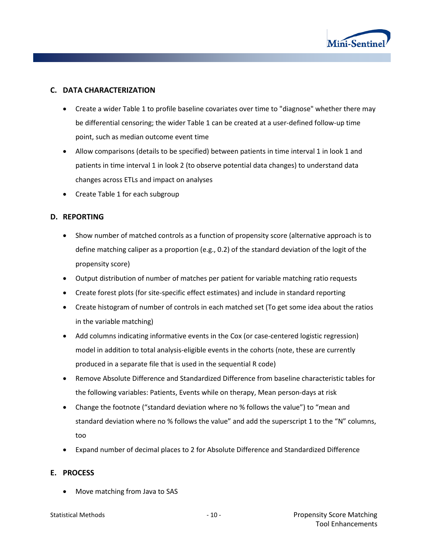

#### **C. DATA CHARACTERIZATION**

- Create a wider Table 1 to profile baseline covariates over time to "diagnose" whether there may be differential censoring; the wider Table 1 can be created at a user-defined follow-up time point, such as median outcome event time
- Allow comparisons (details to be specified) between patients in time interval 1 in look 1 and patients in time interval 1 in look 2 (to observe potential data changes) to understand data changes across ETLs and impact on analyses
- Create Table 1 for each subgroup

#### **D. REPORTING**

- Show number of matched controls as a function of propensity score (alternative approach is to define matching caliper as a proportion (e.g., 0.2) of the standard deviation of the logit of the propensity score)
- Output distribution of number of matches per patient for variable matching ratio requests
- Create forest plots (for site-specific effect estimates) and include in standard reporting
- Create histogram of number of controls in each matched set (To get some idea about the ratios in the variable matching)
- Add columns indicating informative events in the Cox (or case-centered logistic regression) model in addition to total analysis-eligible events in the cohorts (note, these are currently produced in a separate file that is used in the sequential R code)
- Remove Absolute Difference and Standardized Difference from baseline characteristic tables for the following variables: Patients, Events while on therapy, Mean person-days at risk
- Change the footnote ("standard deviation where no % follows the value") to "mean and standard deviation where no % follows the value" and add the superscript 1 to the "N" columns, too
- Expand number of decimal places to 2 for Absolute Difference and Standardized Difference

#### **E. PROCESS**

• Move matching from Java to SAS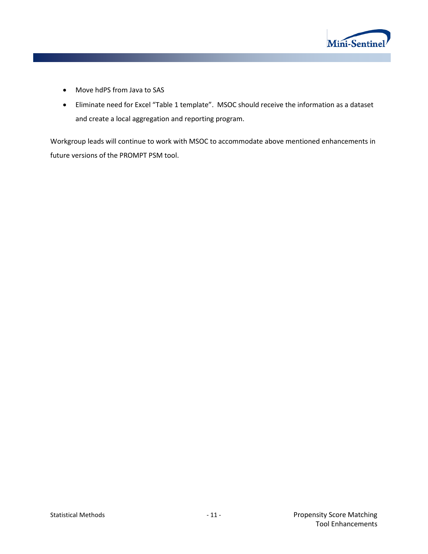

- Move hdPS from Java to SAS
- Eliminate need for Excel "Table 1 template". MSOC should receive the information as a dataset and create a local aggregation and reporting program.

Workgroup leads will continue to work with MSOC to accommodate above mentioned enhancements in future versions of the PROMPT PSM tool.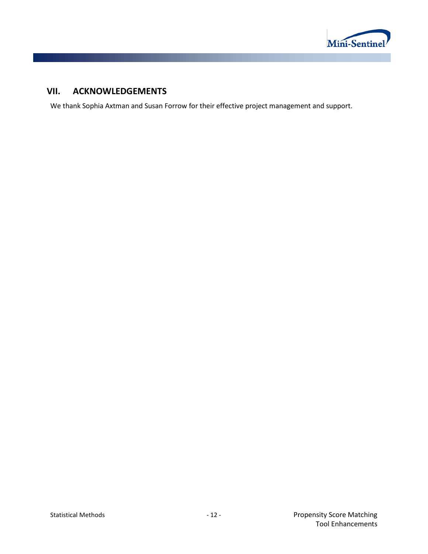

## **VII. ACKNOWLEDGEMENTS**

We thank Sophia Axtman and Susan Forrow for their effective project management and support.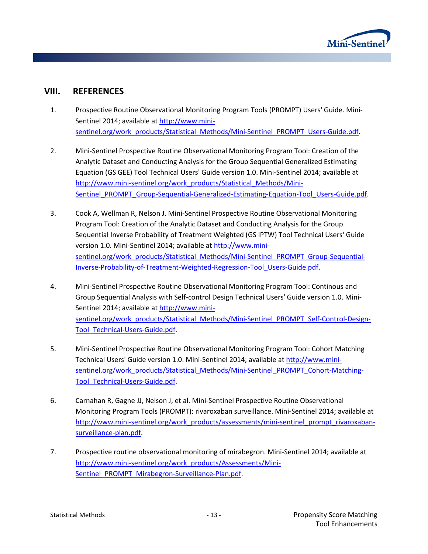

## **VIII. REFERENCES**

- <span id="page-14-0"></span>1. Prospective Routine Observational Monitoring Program Tools (PROMPT) Users' Guide. Mini-Sentinel 2014; available at [http://www.mini](http://www.mini-sentinel.org/work_products/Statistical_Methods/Mini-Sentinel_PROMPT_Users-Guide.pdf)[sentinel.org/work\\_products/Statistical\\_Methods/Mini-Sentinel\\_PROMPT\\_Users-Guide.pdf.](http://www.mini-sentinel.org/work_products/Statistical_Methods/Mini-Sentinel_PROMPT_Users-Guide.pdf)
- <span id="page-14-1"></span>2. Mini-Sentinel Prospective Routine Observational Monitoring Program Tool: Creation of the Analytic Dataset and Conducting Analysis for the Group Sequential Generalized Estimating Equation (GS GEE) Tool Technical Users' Guide version 1.0. Mini-Sentinel 2014; available at [http://www.mini-sentinel.org/work\\_products/Statistical\\_Methods/Mini-](http://www.mini-sentinel.org/work_products/Statistical_Methods/Mini-Sentinel_PROMPT_Group-Sequential-Generalized-Estimating-Equation-Tool_Users-Guide.pdf)[Sentinel\\_PROMPT\\_Group-Sequential-Generalized-Estimating-Equation-Tool\\_Users-Guide.pdf.](http://www.mini-sentinel.org/work_products/Statistical_Methods/Mini-Sentinel_PROMPT_Group-Sequential-Generalized-Estimating-Equation-Tool_Users-Guide.pdf)
- 3. Cook A, Wellman R, Nelson J. Mini-Sentinel Prospective Routine Observational Monitoring Program Tool: Creation of the Analytic Dataset and Conducting Analysis for the Group Sequential Inverse Probability of Treatment Weighted (GS IPTW) Tool Technical Users' Guide version 1.0. Mini-Sentinel 2014; available at [http://www.mini](http://www.mini-sentinel.org/work_products/Statistical_Methods/Mini-Sentinel_PROMPT_Group-Sequential-Inverse-Probability-of-Treatment-Weighted-Regression-Tool_Users-Guide.pdf)[sentinel.org/work\\_products/Statistical\\_Methods/Mini-Sentinel\\_PROMPT\\_Group-Sequential-](http://www.mini-sentinel.org/work_products/Statistical_Methods/Mini-Sentinel_PROMPT_Group-Sequential-Inverse-Probability-of-Treatment-Weighted-Regression-Tool_Users-Guide.pdf)[Inverse-Probability-of-Treatment-Weighted-Regression-Tool\\_Users-Guide.pdf.](http://www.mini-sentinel.org/work_products/Statistical_Methods/Mini-Sentinel_PROMPT_Group-Sequential-Inverse-Probability-of-Treatment-Weighted-Regression-Tool_Users-Guide.pdf)
- 4. Mini-Sentinel Prospective Routine Observational Monitoring Program Tool: Continous and Group Sequential Analysis with Self-control Design Technical Users' Guide version 1.0. Mini-Sentinel 2014; available at [http://www.mini](http://www.mini-sentinel.org/work_products/Statistical_Methods/Mini-Sentinel_PROMPT_Self-Control-Design-Tool_Technical-Users-Guide.pdf)[sentinel.org/work\\_products/Statistical\\_Methods/Mini-Sentinel\\_PROMPT\\_Self-Control-Design-](http://www.mini-sentinel.org/work_products/Statistical_Methods/Mini-Sentinel_PROMPT_Self-Control-Design-Tool_Technical-Users-Guide.pdf)[Tool\\_Technical-Users-Guide.pdf.](http://www.mini-sentinel.org/work_products/Statistical_Methods/Mini-Sentinel_PROMPT_Self-Control-Design-Tool_Technical-Users-Guide.pdf)
- 5. Mini-Sentinel Prospective Routine Observational Monitoring Program Tool: Cohort Matching Technical Users' Guide version 1.0. Mini-Sentinel 2014; available at [http://www.mini](http://www.mini-sentinel.org/work_products/Statistical_Methods/Mini-Sentinel_PROMPT_Cohort-Matching-Tool_Technical-Users-Guide.pdf)[sentinel.org/work\\_products/Statistical\\_Methods/Mini-Sentinel\\_PROMPT\\_Cohort-Matching-](http://www.mini-sentinel.org/work_products/Statistical_Methods/Mini-Sentinel_PROMPT_Cohort-Matching-Tool_Technical-Users-Guide.pdf)[Tool\\_Technical-Users-Guide.pdf.](http://www.mini-sentinel.org/work_products/Statistical_Methods/Mini-Sentinel_PROMPT_Cohort-Matching-Tool_Technical-Users-Guide.pdf)
- <span id="page-14-2"></span>6. Carnahan R, Gagne JJ, Nelson J, et al. Mini-Sentinel Prospective Routine Observational Monitoring Program Tools (PROMPT): rivaroxaban surveillance. Mini-Sentinel 2014; available at [http://www.mini-sentinel.org/work\\_products/assessments/mini-sentinel\\_prompt\\_rivaroxaban](http://www.mini-sentinel.org/work_products/assessments/mini-sentinel_prompt_rivaroxaban-surveillance-plan.Pdf)[surveillance-plan.pdf.](http://www.mini-sentinel.org/work_products/assessments/mini-sentinel_prompt_rivaroxaban-surveillance-plan.Pdf)
- <span id="page-14-3"></span>7. Prospective routine observational monitoring of mirabegron. Mini-Sentinel 2014; available at [http://www.mini-sentinel.org/work\\_products/Assessments/Mini-](http://www.mini-sentinel.org/work_products/Assessments/Mini-Sentinel_PROMPT_Mirabegron-Surveillance-Plan.pdf)[Sentinel\\_PROMPT\\_Mirabegron-Surveillance-Plan.pdf.](http://www.mini-sentinel.org/work_products/Assessments/Mini-Sentinel_PROMPT_Mirabegron-Surveillance-Plan.pdf)